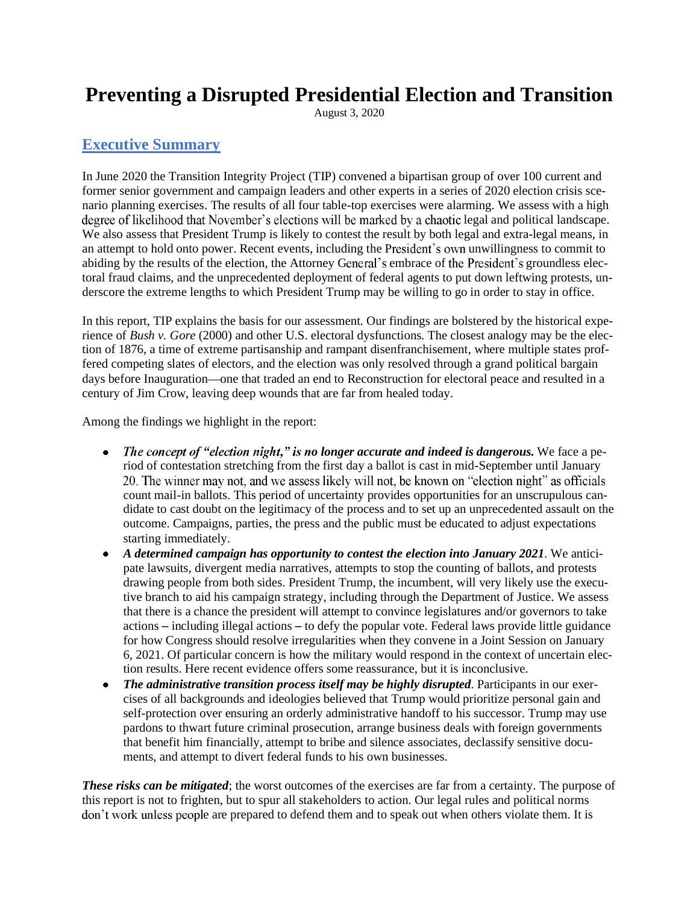# **Preventing a Disrupted Presidential Election and Transition**

August 3, 2020

### **Executive Summary**

In June 2020 the Transition Integrity Project (TIP) convened a bipartisan group of over 100 current and former senior government and campaign leaders and other experts in a series of 2020 election crisis scenario planning exercises. The results of all four table-top exercises were alarming. We assess with a high degree of likelihood that November's elections will be marked by a chaotic legal and political landscape. We also assess that President Trump is likely to contest the result by both legal and extra-legal means, in an attempt to hold onto power. Recent events, including the President's own unwillingness to commit to abiding by the results of the election, the Attorney General's embrace of the President's groundless electoral fraud claims, and the unprecedented deployment of federal agents to put down leftwing protests, underscore the extreme lengths to which President Trump may be willing to go in order to stay in office.

In this report, TIP explains the basis for our assessment. Our findings are bolstered by the historical experience of *Bush v. Gore* (2000) and other U.S. electoral dysfunctions. The closest analogy may be the election of 1876, a time of extreme partisanship and rampant disenfranchisement, where multiple states proffered competing slates of electors, and the election was only resolved through a grand political bargain days before Inauguration—one that traded an end to Reconstruction for electoral peace and resulted in a century of Jim Crow, leaving deep wounds that are far from healed today.

Among the findings we highlight in the report:

- The concept of "election night," is no longer accurate and indeed is dangerous. We face a period of contestation stretching from the first day a ballot is cast in mid-September until January 20. The winner may not, and we assess likely will not, be known on "election night" as officials count mail-in ballots. This period of uncertainty provides opportunities for an unscrupulous candidate to cast doubt on the legitimacy of the process and to set up an unprecedented assault on the outcome. Campaigns, parties, the press and the public must be educated to adjust expectations starting immediately.
- *A determined campaign has opportunity to contest the election into January 2021*. We anticipate lawsuits, divergent media narratives, attempts to stop the counting of ballots, and protests drawing people from both sides. President Trump, the incumbent, will very likely use the executive branch to aid his campaign strategy, including through the Department of Justice. We assess that there is a chance the president will attempt to convince legislatures and/or governors to take actions – including illegal actions – to defy the popular vote. Federal laws provide little guidance for how Congress should resolve irregularities when they convene in a Joint Session on January 6, 2021. Of particular concern is how the military would respond in the context of uncertain election results. Here recent evidence offers some reassurance, but it is inconclusive.
- *The administrative transition process itself may be highly disrupted*. Participants in our exercises of all backgrounds and ideologies believed that Trump would prioritize personal gain and self-protection over ensuring an orderly administrative handoff to his successor. Trump may use pardons to thwart future criminal prosecution, arrange business deals with foreign governments that benefit him financially, attempt to bribe and silence associates, declassify sensitive documents, and attempt to divert federal funds to his own businesses.

*These risks can be mitigated*; the worst outcomes of the exercises are far from a certainty. The purpose of this report is not to frighten, but to spur all stakeholders to action. Our legal rules and political norms don't work unless people are prepared to defend them and to speak out when others violate them. It is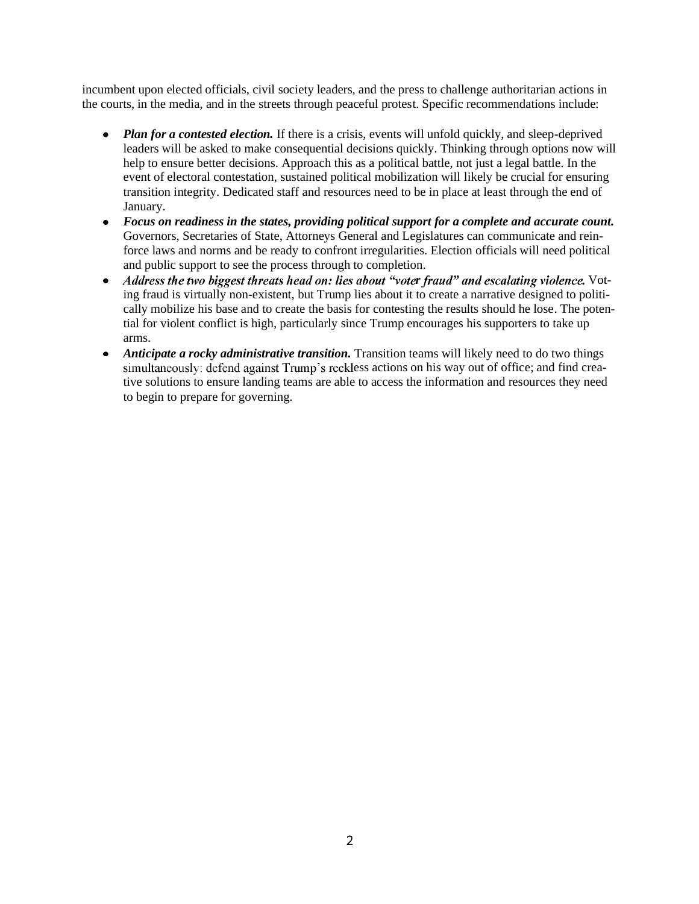incumbent upon elected officials, civil society leaders, and the press to challenge authoritarian actions in the courts, in the media, and in the streets through peaceful protest. Specific recommendations include:

- Plan for a contested election. If there is a crisis, events will unfold quickly, and sleep-deprived leaders will be asked to make consequential decisions quickly. Thinking through options now will help to ensure better decisions. Approach this as a political battle, not just a legal battle. In the event of electoral contestation, sustained political mobilization will likely be crucial for ensuring transition integrity. Dedicated staff and resources need to be in place at least through the end of January.
- *Focus on readiness in the states, providing political support for a complete and accurate count.* Governors, Secretaries of State, Attorneys General and Legislatures can communicate and reinforce laws and norms and be ready to confront irregularities. Election officials will need political and public support to see the process through to completion.
- *Address the two biggest threats head on: lies about "voter fraud" and escalating violence. Vot-* $\bullet$ ing fraud is virtually non-existent, but Trump lies about it to create a narrative designed to politically mobilize his base and to create the basis for contesting the results should he lose. The potential for violent conflict is high, particularly since Trump encourages his supporters to take up arms.
- *Anticipate a rocky administrative transition.* Transition teams will likely need to do two things simultaneously: defend against Trump's reckless actions on his way out of office; and find creative solutions to ensure landing teams are able to access the information and resources they need to begin to prepare for governing.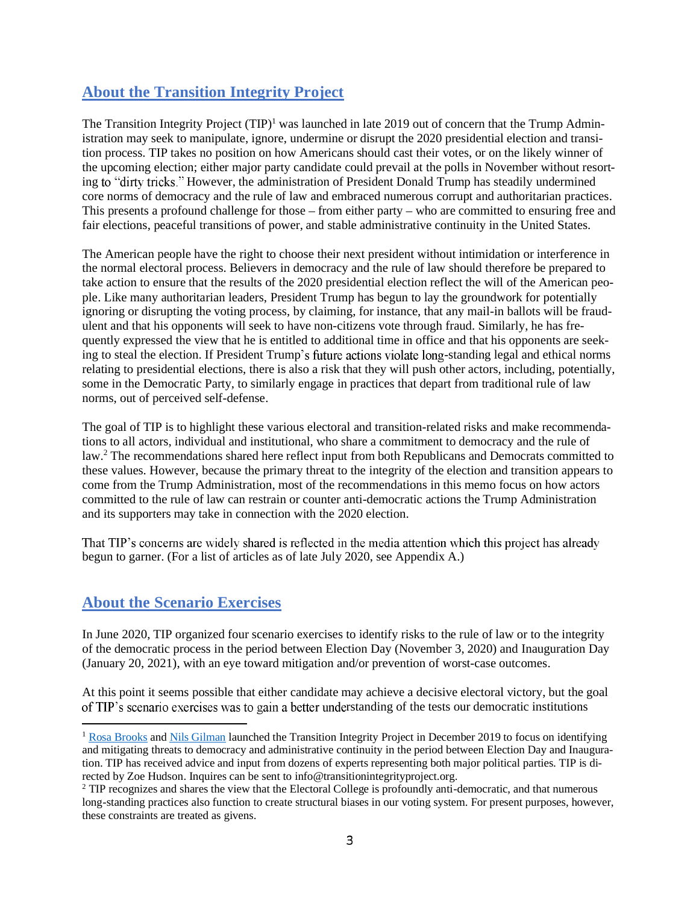### **About the Transition Integrity Project**

The Transition Integrity Project (TIP)<sup>1</sup> was launched in late 2019 out of concern that the Trump Administration may seek to manipulate, ignore, undermine or disrupt the 2020 presidential election and transition process. TIP takes no position on how Americans should cast their votes, or on the likely winner of the upcoming election; either major party candidate could prevail at the polls in November without resorting to "dirty tricks." However, the administration of President Donald Trump has steadily undermined core norms of democracy and the rule of law and embraced numerous corrupt and authoritarian practices. This presents a profound challenge for those  $-$  from either party  $-$  who are committed to ensuring free and fair elections, peaceful transitions of power, and stable administrative continuity in the United States.

The American people have the right to choose their next president without intimidation or interference in the normal electoral process. Believers in democracy and the rule of law should therefore be prepared to take action to ensure that the results of the 2020 presidential election reflect the will of the American people. Like many authoritarian leaders, President Trump has begun to lay the groundwork for potentially ignoring or disrupting the voting process, by claiming, for instance, that any mail-in ballots will be fraudulent and that his opponents will seek to have non-citizens vote through fraud. Similarly, he has frequently expressed the view that he is entitled to additional time in office and that his opponents are seeking to steal the election. If President Trump's future actions violate long-standing legal and ethical norms relating to presidential elections, there is also a risk that they will push other actors, including, potentially, some in the Democratic Party, to similarly engage in practices that depart from traditional rule of law norms, out of perceived self-defense.

The goal of TIP is to highlight these various electoral and transition-related risks and make recommendations to all actors, individual and institutional, who share a commitment to democracy and the rule of law.<sup>2</sup> The recommendations shared here reflect input from both Republicans and Democrats committed to these values. However, because the primary threat to the integrity of the election and transition appears to come from the Trump Administration, most of the recommendations in this memo focus on how actors committed to the rule of law can restrain or counter anti-democratic actions the Trump Administration and its supporters may take in connection with the 2020 election.

That TIP's concerns are widely shared is reflected in the media attention which this project has already begun to garner. (For a list of articles as of late July 2020, see Appendix A.)

### **About the Scenario Exercises**

In June 2020, TIP organized four scenario exercises to identify risks to the rule of law or to the integrity of the democratic process in the period between Election Day (November 3, 2020) and Inauguration Day (January 20, 2021), with an eye toward mitigation and/or prevention of worst-case outcomes.

At this point it seems possible that either candidate may achieve a decisive electoral victory, but the goal of TIP's scenario exercises was to gain a better understanding of the tests our democratic institutions

<sup>&</sup>lt;sup>1</sup> Rosa Brooks and Nils Gilman launched the Transition Integrity Project in December 2019 to focus on identifying and mitigating threats to democracy and administrative continuity in the period between Election Day and Inauguration. TIP has received advice and input from dozens of experts representing both major political parties. TIP is directed by Zoe Hudson. Inquires can be sent to info@transitionintegrityproject.org.

<sup>&</sup>lt;sup>2</sup> TIP recognizes and shares the view that the Electoral College is profoundly anti-democratic, and that numerous long-standing practices also function to create structural biases in our voting system. For present purposes, however, these constraints are treated as givens.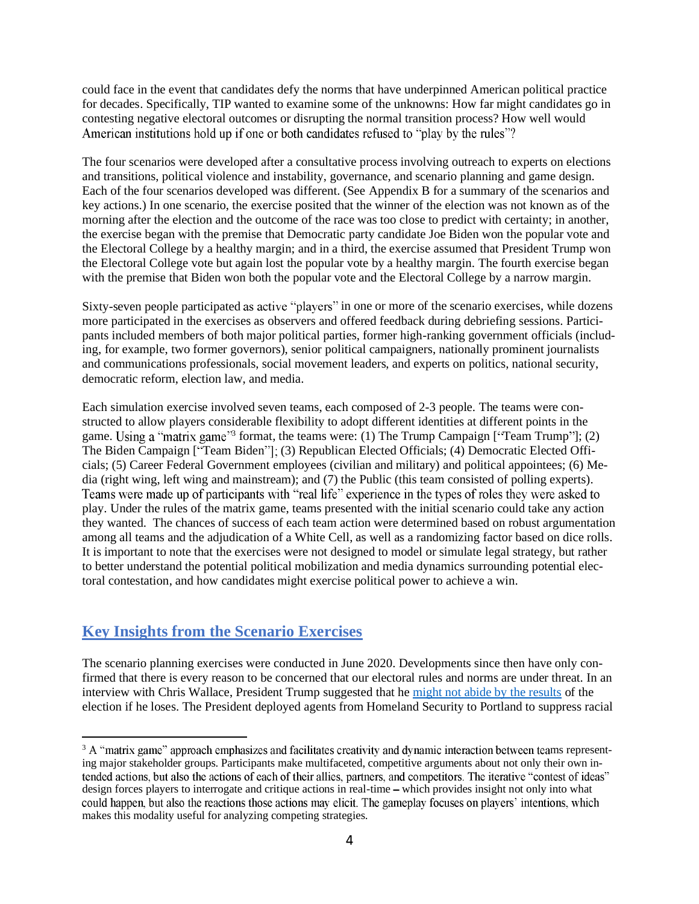could face in the event that candidates defy the norms that have underpinned American political practice for decades. Specifically, TIP wanted to examine some of the unknowns: How far might candidates go in contesting negative electoral outcomes or disrupting the normal transition process? How well would American institutions hold up if one or both candidates refused to "play by the rules"?

The four scenarios were developed after a consultative process involving outreach to experts on elections and transitions, political violence and instability, governance, and scenario planning and game design. Each of the four scenarios developed was different. (See Appendix B for a summary of the scenarios and key actions.) In one scenario, the exercise posited that the winner of the election was not known as of the morning after the election and the outcome of the race was too close to predict with certainty; in another, the exercise began with the premise that Democratic party candidate Joe Biden won the popular vote and the Electoral College by a healthy margin; and in a third, the exercise assumed that President Trump won the Electoral College vote but again lost the popular vote by a healthy margin. The fourth exercise began with the premise that Biden won both the popular vote and the Electoral College by a narrow margin.

Sixty-seven people participated as active "players" in one or more of the scenario exercises, while dozens more participated in the exercises as observers and offered feedback during debriefing sessions. Participants included members of both major political parties, former high-ranking government officials (including, for example, two former governors), senior political campaigners, nationally prominent journalists and communications professionals, social movement leaders, and experts on politics, national security, democratic reform, election law, and media.

Each simulation exercise involved seven teams, each composed of 2-3 people. The teams were constructed to allow players considerable flexibility to adopt different identities at different points in the game. Using a "matrix game"<sup>3</sup> format, the teams were: (1) The Trump Campaign ["Team Trump"]; (2) The Biden Campaign ["Team Biden"]; (3) Republican Elected Officials; (4) Democratic Elected Officials; (5) Career Federal Government employees (civilian and military) and political appointees; (6) Media (right wing, left wing and mainstream); and (7) the Public (this team consisted of polling experts). Teams were made up of participants with "real life" experience in the types of roles they were asked to play. Under the rules of the matrix game, teams presented with the initial scenario could take any action they wanted. The chances of success of each team action were determined based on robust argumentation among all teams and the adjudication of a White Cell, as well as a randomizing factor based on dice rolls. It is important to note that the exercises were not designed to model or simulate legal strategy, but rather to better understand the potential political mobilization and media dynamics surrounding potential electoral contestation, and how candidates might exercise political power to achieve a win.

### **Key Insights from the Scenario Exercises**

The scenario planning exercises were conducted in June 2020. Developments since then have only confirmed that there is every reason to be concerned that our electoral rules and norms are under threat. In an interview with Chris Wallace, President Trump suggested that he might not abide by the results of the election if he loses. The President deployed agents from Homeland Security to Portland to suppress racial

 $3$  A "matrix game" approach emphasizes and facilitates creativity and dynamic interaction between teams representing major stakeholder groups. Participants make multifaceted, competitive arguments about not only their own intended actions, but also the actions of each of their allies, partners, and competitors. The iterative "contest of ideas" design forces players to interrogate and critique actions in real-time – which provides insight not only into what could happen, but also the reactions those actions may elicit. The gameplay focuses on players' intentions, which makes this modality useful for analyzing competing strategies.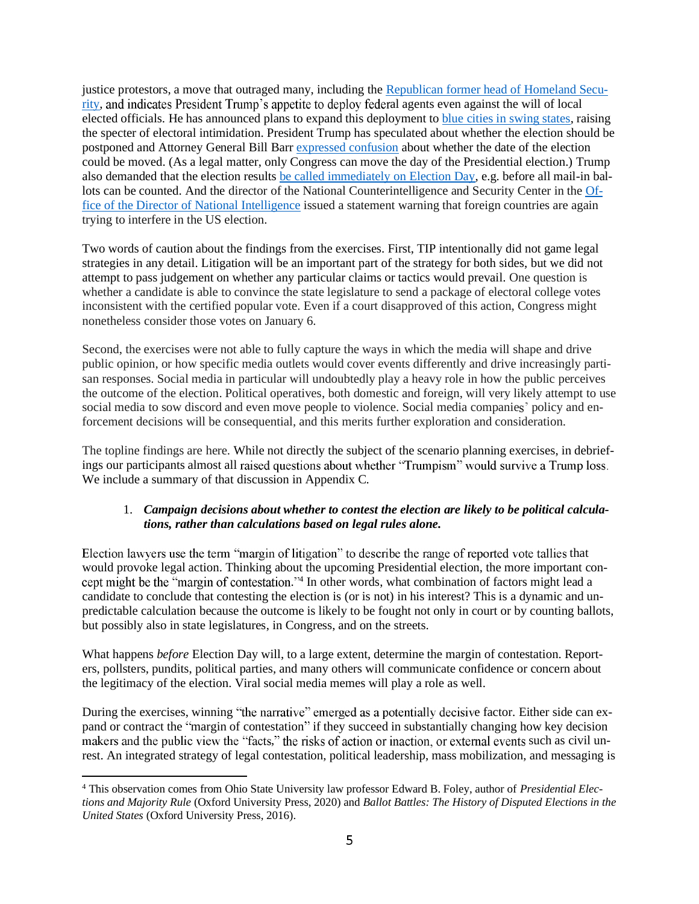justice protestors, a move that outraged many, including the Republican former head of Homeland Security, and indicates President Trump's appetite to deploy federal agents even against the will of local elected officials. He has announced plans to expand this deployment to blue cities in swing states, raising the specter of electoral intimidation. President Trump has speculated about whether the election should be postponed and Attorney General Bill Barr expressed confusion about whether the date of the election could be moved. (As a legal matter, only Congress can move the day of the Presidential election.) Trump also demanded that the election results be called immediately on Election Day, e.g. before all mail-in ballots can be counted. And the director of the National Counterintelligence and Security Center in the Office of the Director of National Intelligence issued a statement warning that foreign countries are again trying to interfere in the US election.

Two words of caution about the findings from the exercises. First, TIP intentionally did not game legal strategies in any detail. Litigation will be an important part of the strategy for both sides, but we did not attempt to pass judgement on whether any particular claims or tactics would prevail. One question is whether a candidate is able to convince the state legislature to send a package of electoral college votes inconsistent with the certified popular vote. Even if a court disapproved of this action, Congress might nonetheless consider those votes on January 6.

Second, the exercises were not able to fully capture the ways in which the media will shape and drive public opinion, or how specific media outlets would cover events differently and drive increasingly partisan responses. Social media in particular will undoubtedly play a heavy role in how the public perceives the outcome of the election. Political operatives, both domestic and foreign, will very likely attempt to use social media to sow discord and even move people to violence. Social media companies' policy and enforcement decisions will be consequential, and this merits further exploration and consideration.

The topline findings are here. While not directly the subject of the scenario planning exercises, in debriefings our participants almost all raised questions about whether "Trumpism" would survive a Trump loss. We include a summary of that discussion in Appendix C.

### 1. *Campaign decisions about whether to contest the election are likely to be political calculations, rather than calculations based on legal rules alone.*

Election lawyers use the term "margin of litigation" to describe the range of reported vote tallies that would provoke legal action. Thinking about the upcoming Presidential election, the more important con- .<sup>74</sup> In other words, what combination of factors might lead a candidate to conclude that contesting the election is (or is not) in his interest? This is a dynamic and unpredictable calculation because the outcome is likely to be fought not only in court or by counting ballots, but possibly also in state legislatures, in Congress, and on the streets.

What happens *before* Election Day will, to a large extent, determine the margin of contestation. Reporters, pollsters, pundits, political parties, and many others will communicate confidence or concern about the legitimacy of the election. Viral social media memes will play a role as well.

During the exercises, winning "the narrative" emerged as a potentially decisive factor. Either side can expand or contract the "margin of contestation" if they succeed in substantially changing how key decision makers and the public view the "facts," the risks of action or inaction, or external events such as civil unrest. An integrated strategy of legal contestation, political leadership, mass mobilization, and messaging is

<sup>4</sup> This observation comes from Ohio State University law professor Edward B. Foley, author of *Presidential Elections and Majority Rule* (Oxford University Press, 2020) and *Ballot Battles: The History of Disputed Elections in the United States* (Oxford University Press, 2016).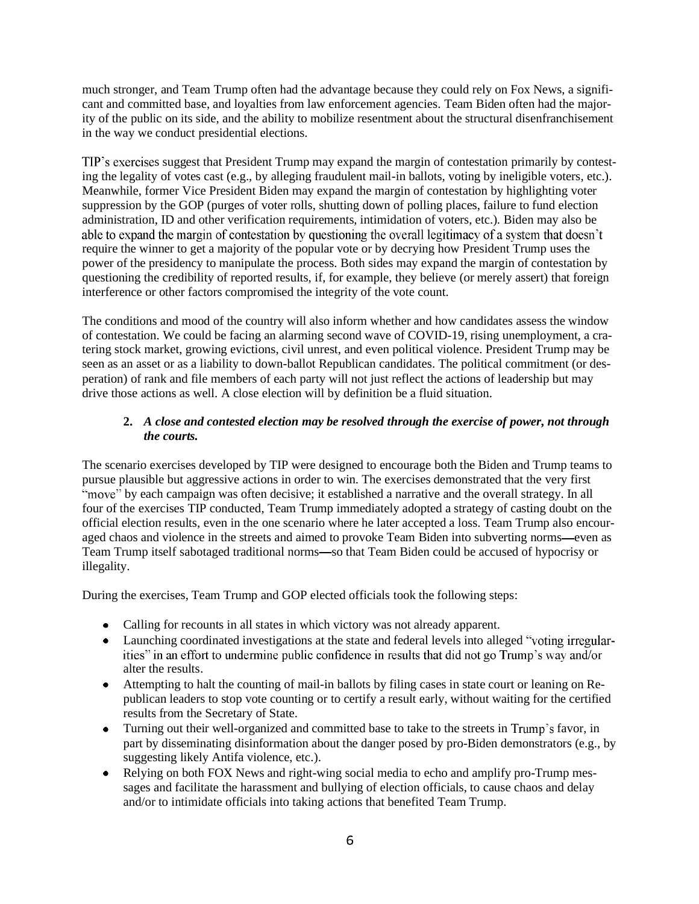much stronger, and Team Trump often had the advantage because they could rely on Fox News, a significant and committed base, and loyalties from law enforcement agencies. Team Biden often had the majority of the public on its side, and the ability to mobilize resentment about the structural disenfranchisement in the way we conduct presidential elections.

TIP's exercises suggest that President Trump may expand the margin of contestation primarily by contesting the legality of votes cast (e.g., by alleging fraudulent mail-in ballots, voting by ineligible voters, etc.). Meanwhile, former Vice President Biden may expand the margin of contestation by highlighting voter suppression by the GOP (purges of voter rolls, shutting down of polling places, failure to fund election administration, ID and other verification requirements, intimidation of voters, etc.). Biden may also be able to expand the margin of contestation by questioning the overall legitimacy of a system that doesn't require the winner to get a majority of the popular vote or by decrying how President Trump uses the power of the presidency to manipulate the process. Both sides may expand the margin of contestation by questioning the credibility of reported results, if, for example, they believe (or merely assert) that foreign interference or other factors compromised the integrity of the vote count.

The conditions and mood of the country will also inform whether and how candidates assess the window of contestation. We could be facing an alarming second wave of COVID-19, rising unemployment, a cratering stock market, growing evictions, civil unrest, and even political violence. President Trump may be seen as an asset or as a liability to down-ballot Republican candidates. The political commitment (or desperation) of rank and file members of each party will not just reflect the actions of leadership but may drive those actions as well. A close election will by definition be a fluid situation.

### **2.** *A close and contested election may be resolved through the exercise of power, not through the courts.*

The scenario exercises developed by TIP were designed to encourage both the Biden and Trump teams to pursue plausible but aggressive actions in order to win. The exercises demonstrated that the very first "move" by each campaign was often decisive; it established a narrative and the overall strategy. In all four of the exercises TIP conducted, Team Trump immediately adopted a strategy of casting doubt on the official election results, even in the one scenario where he later accepted a loss. Team Trump also encouraged chaos and violence in the streets and aimed to provoke Team Biden into subverting norms—even as Team Trump itself sabotaged traditional norms—so that Team Biden could be accused of hypocrisy or illegality.

During the exercises, Team Trump and GOP elected officials took the following steps:

- Calling for recounts in all states in which victory was not already apparent.
- Launching coordinated investigations at the state and federal levels into alleged "voting irregularities" in an effort to undermine public confidence in results that did not go Trump's way and/or alter the results.
- Attempting to halt the counting of mail-in ballots by filing cases in state court or leaning on Republican leaders to stop vote counting or to certify a result early, without waiting for the certified results from the Secretary of State.
- Turning out their well-organized and committed base to take to the streets in Trump's favor, in part by disseminating disinformation about the danger posed by pro-Biden demonstrators (e.g., by suggesting likely Antifa violence, etc.).
- Relying on both FOX News and right-wing social media to echo and amplify pro-Trump mes- $\bullet$ sages and facilitate the harassment and bullying of election officials, to cause chaos and delay and/or to intimidate officials into taking actions that benefited Team Trump.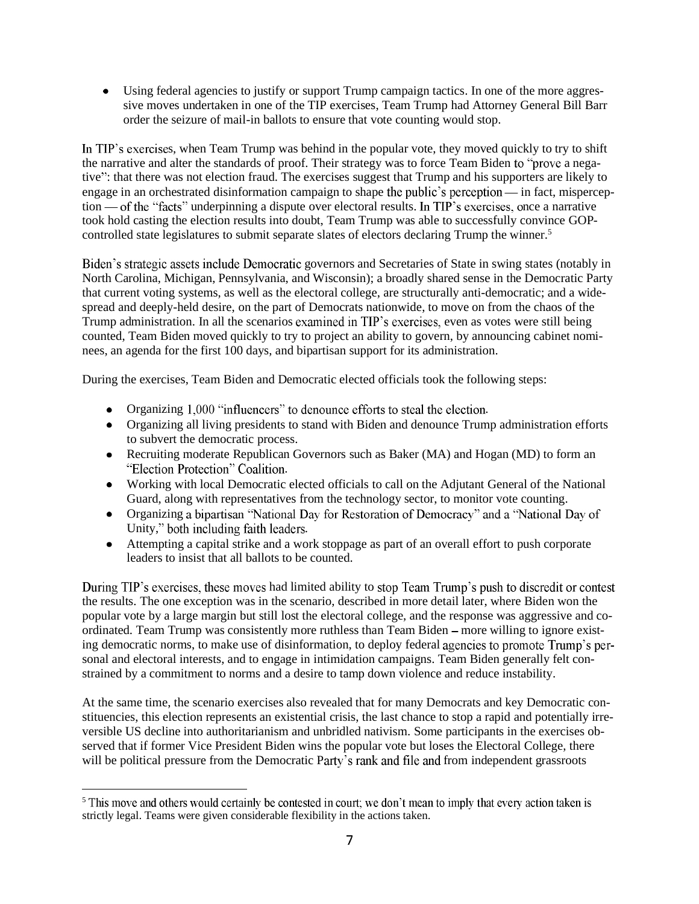Using federal agencies to justify or support Trump campaign tactics. In one of the more aggressive moves undertaken in one of the TIP exercises, Team Trump had Attorney General Bill Barr order the seizure of mail-in ballots to ensure that vote counting would stop.

In TIP's exercises, when Team Trump was behind in the popular vote, they moved quickly to try to shift the narrative and alter the standards of proof. Their strategy was to force Team Biden to "prove a negative": that there was not election fraud. The exercises suggest that Trump and his supporters are likely to engage in an orchestrated disinformation campaign to shape the public's perception— in fact, misperception — of the "facts" underpinning a dispute over electoral results. In TIP's exercises, once a narrative took hold casting the election results into doubt, Team Trump was able to successfully convince GOPcontrolled state legislatures to submit separate slates of electors declaring Trump the winner.<sup>5</sup>

Biden's strategic assets include Democratic governors and Secretaries of State in swing states (notably in North Carolina, Michigan, Pennsylvania, and Wisconsin); a broadly shared sense in the Democratic Party that current voting systems, as well as the electoral college, are structurally anti-democratic; and a widespread and deeply-held desire, on the part of Democrats nationwide, to move on from the chaos of the Trump administration. In all the scenarios examined in TIP's exercises, even as votes were still being counted, Team Biden moved quickly to try to project an ability to govern, by announcing cabinet nominees, an agenda for the first 100 days, and bipartisan support for its administration.

During the exercises, Team Biden and Democratic elected officials took the following steps:

- Organizing 1,000 "influencers" to denounce efforts to steal the election.
- Organizing all living presidents to stand with Biden and denounce Trump administration efforts to subvert the democratic process.
- Recruiting moderate Republican Governors such as Baker (MA) and Hogan (MD) to form an  $\bullet$ "Election Protection" Coalition.
- Working with local Democratic elected officials to call on the Adjutant General of the National Guard, along with representatives from the technology sector, to monitor vote counting.
- Organizing a bipartisan "National Day for Restoration of Democracy" and a "National Day of Unity," both including faith leaders.
- Attempting a capital strike and a work stoppage as part of an overall effort to push corporate  $\bullet$ leaders to insist that all ballots to be counted.

During TIP's exercises, these moves had limited ability to stop Team Trump's push to discredit or contest the results. The one exception was in the scenario, described in more detail later, where Biden won the popular vote by a large margin but still lost the electoral college, and the response was aggressive and coordinated. Team Trump was consistently more ruthless than Team Biden more willing to ignore existing democratic norms, to make use of disinformation, to deploy federal agencies to promote Trump's personal and electoral interests, and to engage in intimidation campaigns. Team Biden generally felt constrained by a commitment to norms and a desire to tamp down violence and reduce instability.

At the same time, the scenario exercises also revealed that for many Democrats and key Democratic constituencies, this election represents an existential crisis, the last chance to stop a rapid and potentially irreversible US decline into authoritarianism and unbridled nativism. Some participants in the exercises observed that if former Vice President Biden wins the popular vote but loses the Electoral College, there will be political pressure from the Democratic Party's rank and file and from independent grassroots

<sup>&</sup>lt;sup>5</sup> This move and others would certainly be contested in court; we don't mean to imply that every action taken is strictly legal. Teams were given considerable flexibility in the actions taken.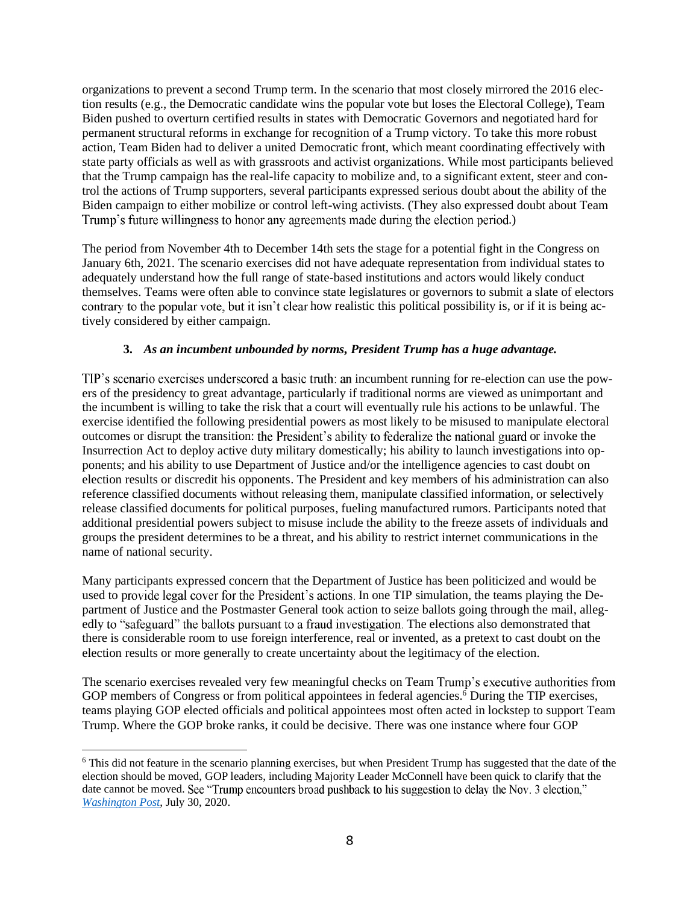organizations to prevent a second Trump term. In the scenario that most closely mirrored the 2016 election results (e.g., the Democratic candidate wins the popular vote but loses the Electoral College), Team Biden pushed to overturn certified results in states with Democratic Governors and negotiated hard for permanent structural reforms in exchange for recognition of a Trump victory. To take this more robust action, Team Biden had to deliver a united Democratic front, which meant coordinating effectively with state party officials as well as with grassroots and activist organizations. While most participants believed that the Trump campaign has the real-life capacity to mobilize and, to a significant extent, steer and control the actions of Trump supporters, several participants expressed serious doubt about the ability of the Biden campaign to either mobilize or control left-wing activists. (They also expressed doubt about Team Trump's future willingness to honor any agreements made during the election period.)

The period from November 4th to December 14th sets the stage for a potential fight in the Congress on January 6th, 2021. The scenario exercises did not have adequate representation from individual states to adequately understand how the full range of state-based institutions and actors would likely conduct themselves. Teams were often able to convince state legislatures or governors to submit a slate of electors contrary to the popular vote, but it isn't clear how realistic this political possibility is, or if it is being actively considered by either campaign.

### **3.** *As an incumbent unbounded by norms, President Trump has a huge advantage.*

TIP's scenario exercises underscored a basic truth: an incumbent running for re-election can use the powers of the presidency to great advantage, particularly if traditional norms are viewed as unimportant and the incumbent is willing to take the risk that a court will eventually rule his actions to be unlawful. The exercise identified the following presidential powers as most likely to be misused to manipulate electoral outcomes or disrupt the transition: the President's ability to federalize the national guard or invoke the Insurrection Act to deploy active duty military domestically; his ability to launch investigations into opponents; and his ability to use Department of Justice and/or the intelligence agencies to cast doubt on election results or discredit his opponents. The President and key members of his administration can also reference classified documents without releasing them, manipulate classified information, or selectively release classified documents for political purposes, fueling manufactured rumors. Participants noted that additional presidential powers subject to misuse include the ability to the freeze assets of individuals and groups the president determines to be a threat, and his ability to restrict internet communications in the name of national security.

Many participants expressed concern that the Department of Justice has been politicized and would be used to provide legal cover for the President's actions. In one TIP simulation, the teams playing the Department of Justice and the Postmaster General took action to seize ballots going through the mail, allegedly to "safeguard" the ballots pursuant to a fraud investigation. The elections also demonstrated that there is considerable room to use foreign interference, real or invented, as a pretext to cast doubt on the election results or more generally to create uncertainty about the legitimacy of the election.

The scenario exercises revealed very few meaningful checks on Team Trump's executive authorities from GOP members of Congress or from political appointees in federal agencies.<sup>6</sup> During the TIP exercises, teams playing GOP elected officials and political appointees most often acted in lockstep to support Team Trump. Where the GOP broke ranks, it could be decisive. There was one instance where four GOP

<sup>&</sup>lt;sup>6</sup> This did not feature in the scenario planning exercises, but when President Trump has suggested that the date of the election should be moved, GOP leaders, including Majority Leader McConnell have been quick to clarify that the date cannot be moved. See "Trump encounters broad pushback to his suggestion to delay the Nov. 3 election," *Washington Post*, July 30, 2020.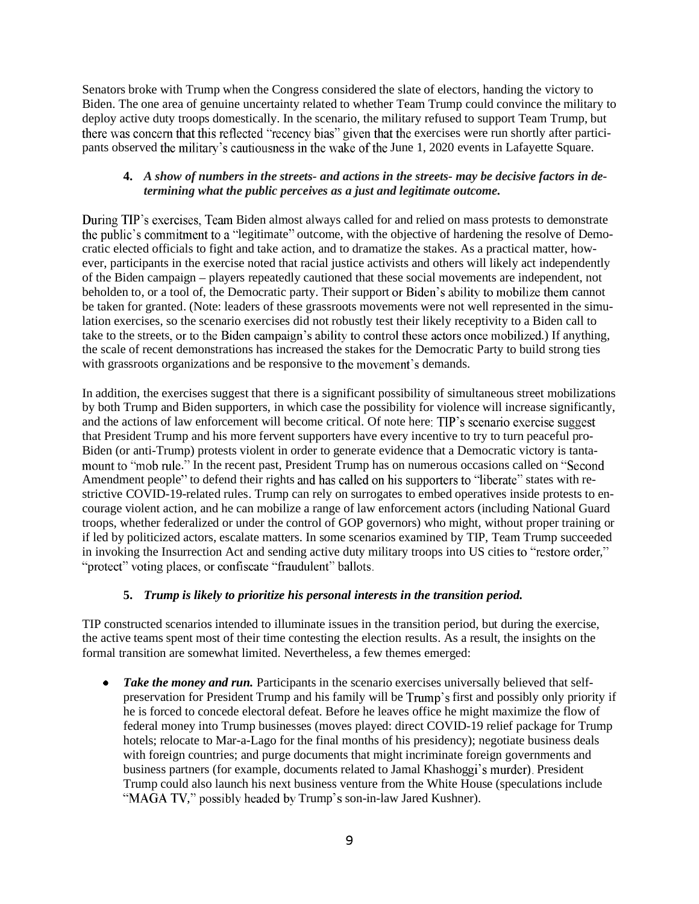Senators broke with Trump when the Congress considered the slate of electors, handing the victory to Biden. The one area of genuine uncertainty related to whether Team Trump could convince the military to deploy active duty troops domestically. In the scenario, the military refused to support Team Trump, but there was concern that this reflected "recency bias" given that the exercises were run shortly after participants observed the military's cautiousness in the wake of the June 1, 2020 events in Lafayette Square.

### **4.** *A show of numbers in the streets- and actions in the streets- may be decisive factors in determining what the public perceives as a just and legitimate outcome.*

During TIP's exercises, Team Biden almost always called for and relied on mass protests to demonstrate the public's commitment to a "legitimate" outcome, with the objective of hardening the resolve of Democratic elected officials to fight and take action, and to dramatize the stakes. As a practical matter, however, participants in the exercise noted that racial justice activists and others will likely act independently of the Biden campaign – players repeatedly cautioned that these social movements are independent, not beholden to, or a tool of, the Democratic party. Their support or Biden's ability to mobilize them cannot be taken for granted. (Note: leaders of these grassroots movements were not well represented in the simulation exercises, so the scenario exercises did not robustly test their likely receptivity to a Biden call to take to the streets, or to the Biden campaign's ability to control these actors once mobilized.) If anything, the scale of recent demonstrations has increased the stakes for the Democratic Party to build strong ties with grassroots organizations and be responsive to the movement's demands.

In addition, the exercises suggest that there is a significant possibility of simultaneous street mobilizations by both Trump and Biden supporters, in which case the possibility for violence will increase significantly, and the actions of law enforcement will become critical. Of note here: TIP's scenario exercise suggest that President Trump and his more fervent supporters have every incentive to try to turn peaceful pro-Biden (or anti-Trump) protests violent in order to generate evidence that a Democratic victory is tanta mount to "mob rule." In the recent past, President Trump has on numerous occasions called on "Second Amendment people" to defend their rights and has called on his supporters to "liberate" states with restrictive COVID-19-related rules. Trump can rely on surrogates to embed operatives inside protests to encourage violent action, and he can mobilize a range of law enforcement actors (including National Guard troops, whether federalized or under the control of GOP governors) who might, without proper training or if led by politicized actors, escalate matters. In some scenarios examined by TIP, Team Trump succeeded in invoking the Insurrection Act and sending active duty military troops into US cities to "restore order," "protect" voting places, or confiscate "fraudulent" ballots.

### **5.** *Trump is likely to prioritize his personal interests in the transition period.*

TIP constructed scenarios intended to illuminate issues in the transition period, but during the exercise, the active teams spent most of their time contesting the election results. As a result, the insights on the formal transition are somewhat limited. Nevertheless, a few themes emerged:

• **Take the money and run.** Participants in the scenario exercises universally believed that selfpreservation for President Trump and his family will be Trump's first and possibly only priority if he is forced to concede electoral defeat. Before he leaves office he might maximize the flow of federal money into Trump businesses (moves played: direct COVID-19 relief package for Trump hotels; relocate to Mar-a-Lago for the final months of his presidency); negotiate business deals with foreign countries; and purge documents that might incriminate foreign governments and business partners (for example, documents related to Jamal Khashoggi's murder). President Trump could also launch his next business venture from the White House (speculations include "MAGA TV," possibly headed by Trump's son-in-law Jared Kushner).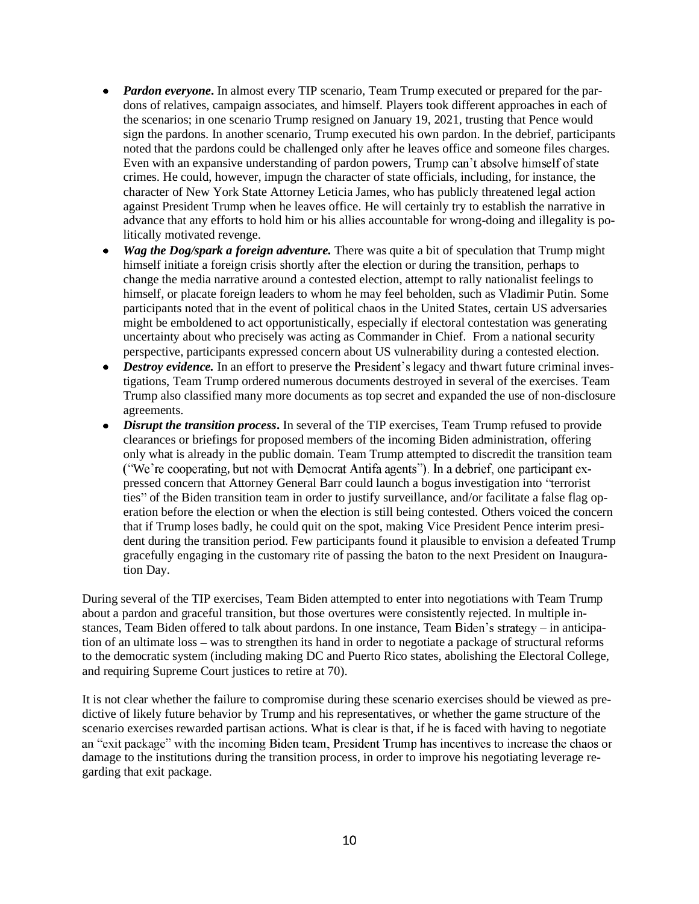- *Pardon everyone*. In almost every TIP scenario, Team Trump executed or prepared for the pardons of relatives, campaign associates, and himself. Players took different approaches in each of the scenarios; in one scenario Trump resigned on January 19, 2021, trusting that Pence would sign the pardons. In another scenario, Trump executed his own pardon. In the debrief, participants noted that the pardons could be challenged only after he leaves office and someone files charges. Even with an expansive understanding of pardon powers, Trump can't absolve himself of state crimes. He could, however, impugn the character of state officials, including, for instance, the character of New York State Attorney Leticia James, who has publicly threatened legal action against President Trump when he leaves office. He will certainly try to establish the narrative in advance that any efforts to hold him or his allies accountable for wrong-doing and illegality is politically motivated revenge.
- *Wag the Dog/spark a foreign adventure.* There was quite a bit of speculation that Trump might himself initiate a foreign crisis shortly after the election or during the transition, perhaps to change the media narrative around a contested election, attempt to rally nationalist feelings to himself, or placate foreign leaders to whom he may feel beholden, such as Vladimir Putin. Some participants noted that in the event of political chaos in the United States, certain US adversaries might be emboldened to act opportunistically, especially if electoral contestation was generating uncertainty about who precisely was acting as Commander in Chief. From a national security perspective, participants expressed concern about US vulnerability during a contested election.
- *Destroy evidence*. In an effort to preserve the President's legacy and thwart future criminal investigations, Team Trump ordered numerous documents destroyed in several of the exercises. Team Trump also classified many more documents as top secret and expanded the use of non-disclosure agreements.
- *Disrupt the transition process*. In several of the TIP exercises, Team Trump refused to provide clearances or briefings for proposed members of the incoming Biden administration, offering only what is already in the public domain. Team Trump attempted to discredit the transition team ("We're cooperating, but not with Democrat Antifa agents"). In a debrief, one participant expressed concern that Attorney General Barr could launch a bogus investigation into "terrorist ties" of the Biden transition team in order to justify surveillance, and/or facilitate a false flag operation before the election or when the election is still being contested. Others voiced the concern that if Trump loses badly, he could quit on the spot, making Vice President Pence interim president during the transition period. Few participants found it plausible to envision a defeated Trump gracefully engaging in the customary rite of passing the baton to the next President on Inauguration Day.

During several of the TIP exercises, Team Biden attempted to enter into negotiations with Team Trump about a pardon and graceful transition, but those overtures were consistently rejected. In multiple instances, Team Biden offered to talk about pardons. In one instance, Team Biden's strategy - in anticipation of an ultimate loss – was to strengthen its hand in order to negotiate a package of structural reforms to the democratic system (including making DC and Puerto Rico states, abolishing the Electoral College, and requiring Supreme Court justices to retire at 70).

It is not clear whether the failure to compromise during these scenario exercises should be viewed as predictive of likely future behavior by Trump and his representatives, or whether the game structure of the scenario exercises rewarded partisan actions. What is clear is that, if he is faced with having to negotiate an "exit package" with the incoming Biden team, President Trump has incentives to increase the chaos or damage to the institutions during the transition process, in order to improve his negotiating leverage regarding that exit package.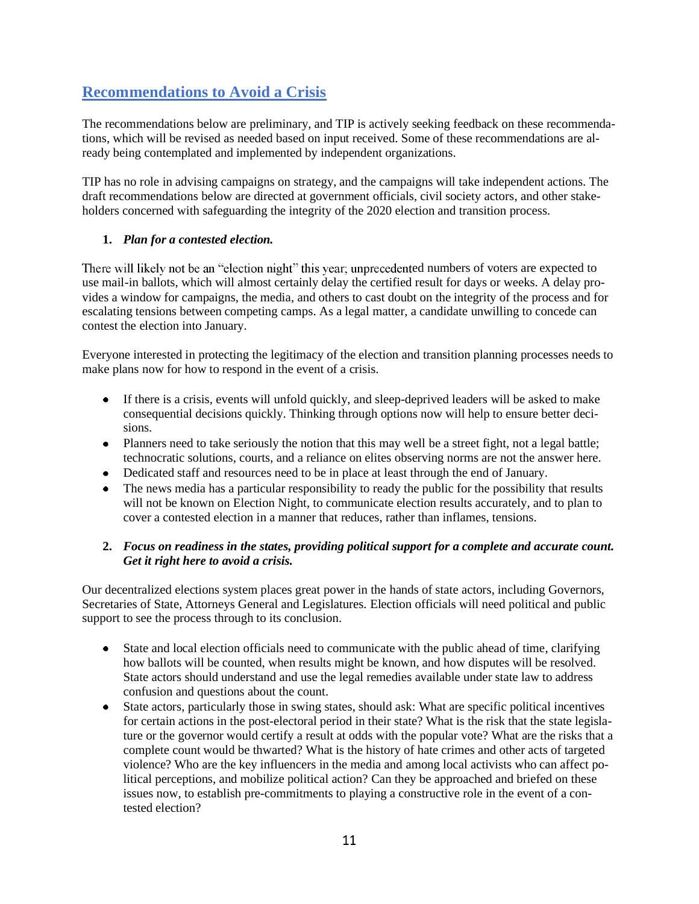### **Recommendations to Avoid a Crisis**

The recommendations below are preliminary, and TIP is actively seeking feedback on these recommendations, which will be revised as needed based on input received. Some of these recommendations are already being contemplated and implemented by independent organizations.

TIP has no role in advising campaigns on strategy, and the campaigns will take independent actions. The draft recommendations below are directed at government officials, civil society actors, and other stakeholders concerned with safeguarding the integrity of the 2020 election and transition process.

### **1.** *Plan for a contested election.*

There will likely not be an "election night" this year, unprecedented numbers of voters are expected to use mail-in ballots, which will almost certainly delay the certified result for days or weeks. A delay provides a window for campaigns, the media, and others to cast doubt on the integrity of the process and for escalating tensions between competing camps. As a legal matter, a candidate unwilling to concede can contest the election into January.

Everyone interested in protecting the legitimacy of the election and transition planning processes needs to make plans now for how to respond in the event of a crisis.

- If there is a crisis, events will unfold quickly, and sleep-deprived leaders will be asked to make consequential decisions quickly. Thinking through options now will help to ensure better decisions.
- Planners need to take seriously the notion that this may well be a street fight, not a legal battle; technocratic solutions, courts, and a reliance on elites observing norms are not the answer here.
- Dedicated staff and resources need to be in place at least through the end of January.
- The news media has a particular responsibility to ready the public for the possibility that results will not be known on Election Night, to communicate election results accurately, and to plan to cover a contested election in a manner that reduces, rather than inflames, tensions.

### **2.** *Focus on readiness in the states, providing political support for a complete and accurate count. Get it right here to avoid a crisis.*

Our decentralized elections system places great power in the hands of state actors, including Governors, Secretaries of State, Attorneys General and Legislatures. Election officials will need political and public support to see the process through to its conclusion.

- State and local election officials need to communicate with the public ahead of time, clarifying  $\bullet$ how ballots will be counted, when results might be known, and how disputes will be resolved. State actors should understand and use the legal remedies available under state law to address confusion and questions about the count.
- State actors, particularly those in swing states, should ask: What are specific political incentives  $\bullet$ for certain actions in the post-electoral period in their state? What is the risk that the state legislature or the governor would certify a result at odds with the popular vote? What are the risks that a complete count would be thwarted? What is the history of hate crimes and other acts of targeted violence? Who are the key influencers in the media and among local activists who can affect political perceptions, and mobilize political action? Can they be approached and briefed on these issues now, to establish pre-commitments to playing a constructive role in the event of a contested election?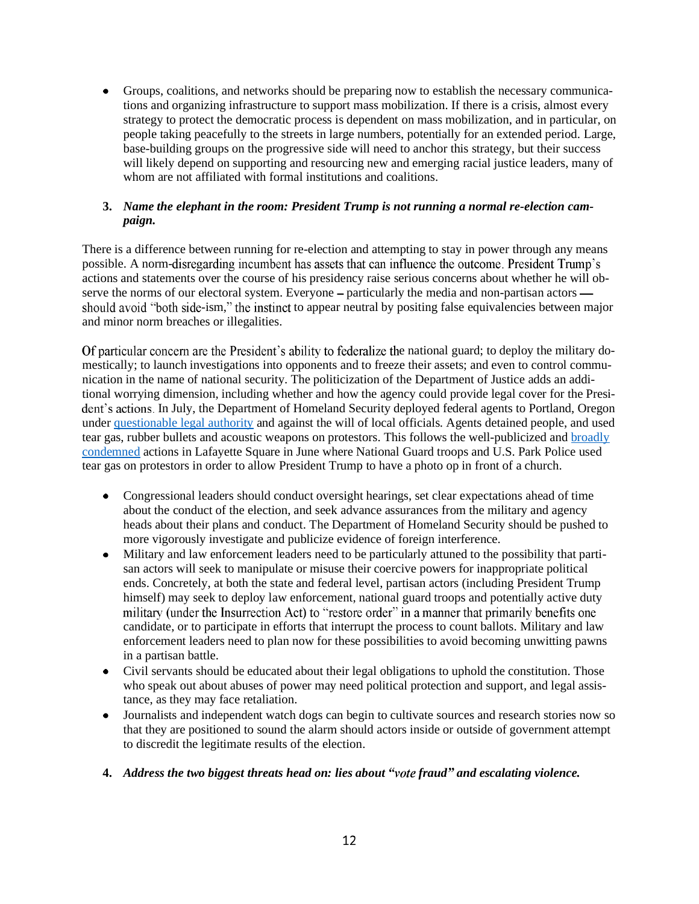Groups, coalitions, and networks should be preparing now to establish the necessary communications and organizing infrastructure to support mass mobilization. If there is a crisis, almost every strategy to protect the democratic process is dependent on mass mobilization, and in particular, on people taking peacefully to the streets in large numbers, potentially for an extended period. Large, base-building groups on the progressive side will need to anchor this strategy, but their success will likely depend on supporting and resourcing new and emerging racial justice leaders, many of whom are not affiliated with formal institutions and coalitions.

### **3.** *Name the elephant in the room: President Trump is not running a normal re-election campaign.*

There is a difference between running for re-election and attempting to stay in power through any means possible. A norm-disregarding incumbent has assets that can influence the outcome. President Trump's actions and statements over the course of his presidency raise serious concerns about whether he will observe the norms of our electoral system. Everyone – particularly the media and non-partisan actors should avoid "both side-ism," the instinct to appear neutral by positing false equivalencies between major and minor norm breaches or illegalities.

Of particular concern are the President's ability to federalize the national guard; to deploy the military domestically; to launch investigations into opponents and to freeze their assets; and even to control communication in the name of national security. The politicization of the Department of Justice adds an additional worrying dimension, including whether and how the agency could provide legal cover for the President's actions. In July, the Department of Homeland Security deployed federal agents to Portland, Oregon under questionable legal authority and against the will of local officials. Agents detained people, and used tear gas, rubber bullets and acoustic weapons on protestors. This follows the well-publicized and broadly condemned actions in Lafayette Square in June where National Guard troops and U.S. Park Police used tear gas on protestors in order to allow President Trump to have a photo op in front of a church.

- Congressional leaders should conduct oversight hearings, set clear expectations ahead of time about the conduct of the election, and seek advance assurances from the military and agency heads about their plans and conduct. The Department of Homeland Security should be pushed to more vigorously investigate and publicize evidence of foreign interference.
- Military and law enforcement leaders need to be particularly attuned to the possibility that partisan actors will seek to manipulate or misuse their coercive powers for inappropriate political ends. Concretely, at both the state and federal level, partisan actors (including President Trump himself) may seek to deploy law enforcement, national guard troops and potentially active duty military (under the Insurrection Act) to "restore order" in a manner that primarily benefits one candidate, or to participate in efforts that interrupt the process to count ballots. Military and law enforcement leaders need to plan now for these possibilities to avoid becoming unwitting pawns in a partisan battle.
- Civil servants should be educated about their legal obligations to uphold the constitution. Those who speak out about abuses of power may need political protection and support, and legal assistance, as they may face retaliation.
- Journalists and independent watch dogs can begin to cultivate sources and research stories now so that they are positioned to sound the alarm should actors inside or outside of government attempt to discredit the legitimate results of the election.

#### **4.** *Address the two biggest threats head on: lies about "vote fraud" and escalating violence.*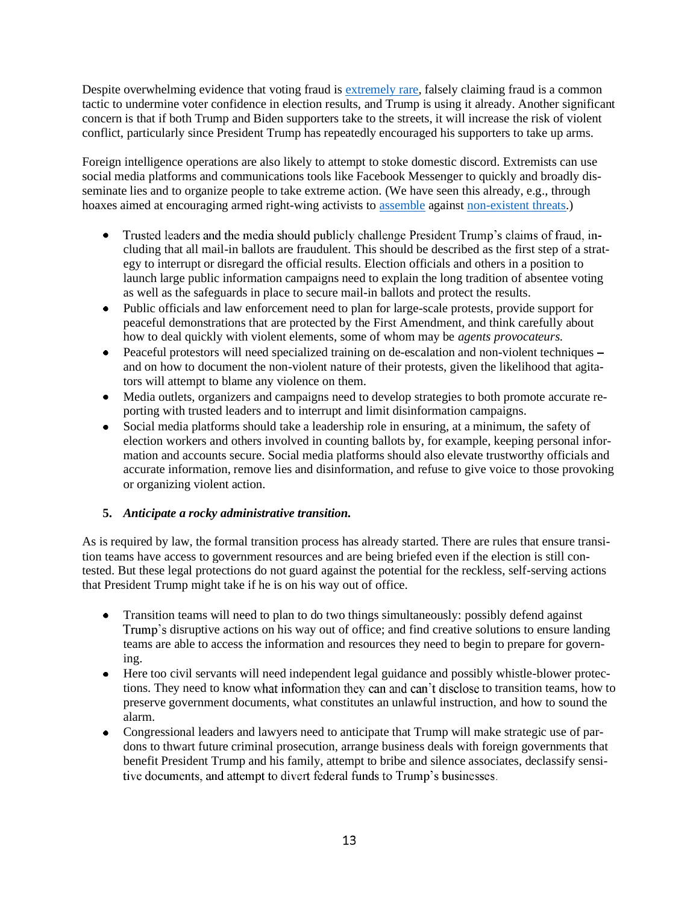Despite overwhelming evidence that voting fraud is extremely rare, falsely claiming fraud is a common tactic to undermine voter confidence in election results, and Trump is using it already. Another significant concern is that if both Trump and Biden supporters take to the streets, it will increase the risk of violent conflict, particularly since President Trump has repeatedly encouraged his supporters to take up arms.

Foreign intelligence operations are also likely to attempt to stoke domestic discord. Extremists can use social media platforms and communications tools like Facebook Messenger to quickly and broadly disseminate lies and to organize people to take extreme action. (We have seen this already, e.g., through hoaxes aimed at encouraging armed right-wing activists to assemble against non-existent threats.)

- Trusted leaders and the media should publicly challenge President Trump's claims of fraud, in- $\bullet$ cluding that all mail-in ballots are fraudulent. This should be described as the first step of a strategy to interrupt or disregard the official results. Election officials and others in a position to launch large public information campaigns need to explain the long tradition of absentee voting as well as the safeguards in place to secure mail-in ballots and protect the results.
- Public officials and law enforcement need to plan for large-scale protests, provide support for peaceful demonstrations that are protected by the First Amendment, and think carefully about how to deal quickly with violent elements, some of whom may be *agents provocateurs.*
- Peaceful protestors will need specialized training on de-escalation and non-violent techniques and on how to document the non-violent nature of their protests, given the likelihood that agitators will attempt to blame any violence on them.
- Media outlets, organizers and campaigns need to develop strategies to both promote accurate reporting with trusted leaders and to interrupt and limit disinformation campaigns.
- Social media platforms should take a leadership role in ensuring, at a minimum, the safety of election workers and others involved in counting ballots by, for example, keeping personal information and accounts secure. Social media platforms should also elevate trustworthy officials and accurate information, remove lies and disinformation, and refuse to give voice to those provoking or organizing violent action.

### **5.** *Anticipate a rocky administrative transition.*

As is required by law, the formal transition process has already started. There are rules that ensure transition teams have access to government resources and are being briefed even if the election is still contested. But these legal protections do not guard against the potential for the reckless, self-serving actions that President Trump might take if he is on his way out of office.

- Transition teams will need to plan to do two things simultaneously: possibly defend against  $\bullet$ Trump's disruptive actions on his way out of office; and find creative solutions to ensure landing teams are able to access the information and resources they need to begin to prepare for governing.
- Here too civil servants will need independent legal guidance and possibly whistle-blower protec- $\bullet$ tions. They need to know what information they can and can't disclose to transition teams, how to preserve government documents, what constitutes an unlawful instruction, and how to sound the alarm.
- Congressional leaders and lawyers need to anticipate that Trump will make strategic use of pardons to thwart future criminal prosecution, arrange business deals with foreign governments that benefit President Trump and his family, attempt to bribe and silence associates, declassify sensitive documents, and attempt to divert federal funds to Trump's businesses.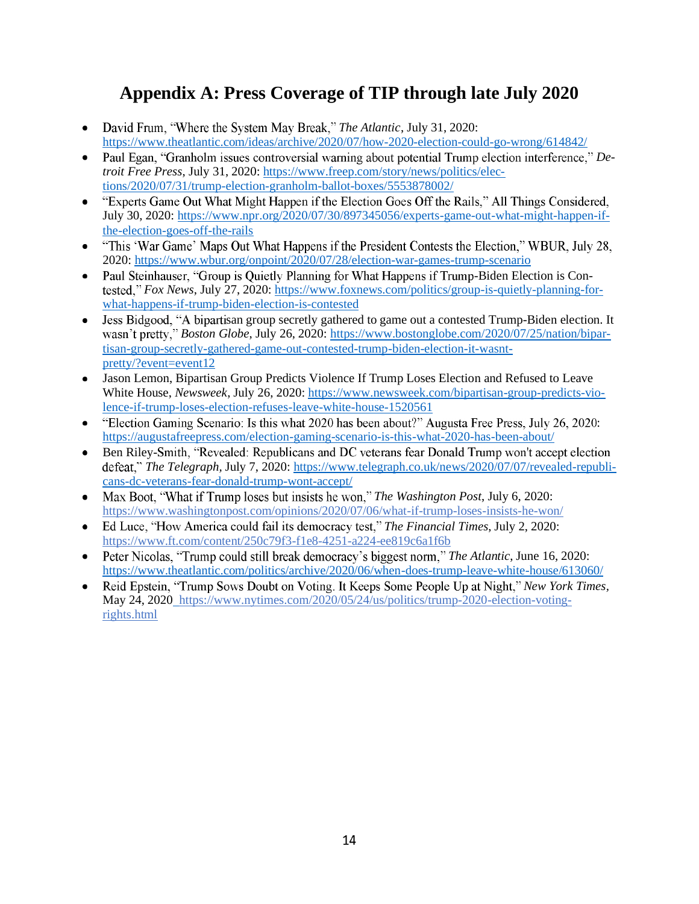# **Appendix A: Press Coverage of TIP through late July 2020**

- David Frum, "Where the System May Break," The Atlantic, July 31, 2020: https://www.theatlantic.com/ideas/archive/2020/07/how-2020-election-could-go-wrong/614842/
- Paul Egan, "Granholm issues controversial warning about potential Trump election interference," De*troit Free Press*, July 31, 2020: https://www.freep.com/story/news/politics/elections/2020/07/31/trump-election-granholm-ballot-boxes/5553878002/
- "Experts Game Out What Might Happen if the Election Goes Off the Rails," All Things Considered,  $\bullet$ July 30, 2020: https://www.npr.org/2020/07/30/897345056/experts-game-out-what-might-happen-ifthe-election-goes-off-the-rails
- "This 'War Game' Maps Out What Happens if the President Contests the Election," WBUR, July 28,  $\bullet$ 2020: https://www.wbur.org/onpoint/2020/07/28/election-war-games-trump-scenario
- Paul Steinhauser, "Group is Quietly Planning for What Happens if Trump-Biden Election is Con-*Fox News*, July 27, 2020: https://www.foxnews.com/politics/group-is-quietly-planning-forwhat-happens-if-trump-biden-election-is-contested
- Jess Bidgood, "A bipartisan group secretly gathered to game out a contested Trump-Biden election. It *Boston Globe*, July 26, 2020: https://www.bostonglobe.com/2020/07/25/nation/bipartisan-group-secretly-gathered-game-out-contested-trump-biden-election-it-wasntpretty/?event=event12
- Jason Lemon, Bipartisan Group Predicts Violence If Trump Loses Election and Refused to Leave  $\bullet$ White House, *Newsweek*, July 26, 2020: https://www.newsweek.com/bipartisan-group-predicts-violence-if-trump-loses-election-refuses-leave-white-house-1520561
- "Election Gaming Scenario: Is this what 2020 has been about?" Augusta Free Press, July 26, 2020: https://augustafreepress.com/election-gaming-scenario-is-this-what-2020-has-been-about/
- Ben Riley-Smith, "Revealed: Republicans and DC veterans fear Donald Trump won't accept election *The Telegraph,* July 7, 2020: https://www.telegraph.co.uk/news/2020/07/07/revealed-republicans-dc-veterans-fear-donald-trump-wont-accept/
- Max Boot, "What if Trump loses but insists he won," *The Washington Post*, July 6, 2020:  $\bullet$ https://www.washingtonpost.com/opinions/2020/07/06/what-if-trump-loses-insists-he-won/
- *The Financial Times*, July 2, 2020:  $\bullet$ https://www.ft.com/content/250c79f3-f1e8-4251-a224-ee819c6a1f6b
- Peter Nicolas. "Trump could still break democracy's biggest norm," *The Atlantic*, June 16, 2020:  $\bullet$ https://www.theatlantic.com/politics/archive/2020/06/when-does-trump-leave-white-house/613060/
- Reid Epstein, "Trump Sows Doubt on Voting. It Keeps Some People Up at Night," New York Times,  $\bullet$ May 24, 2020 https://www.nytimes.com/2020/05/24/us/politics/trump-2020-election-votingrights.html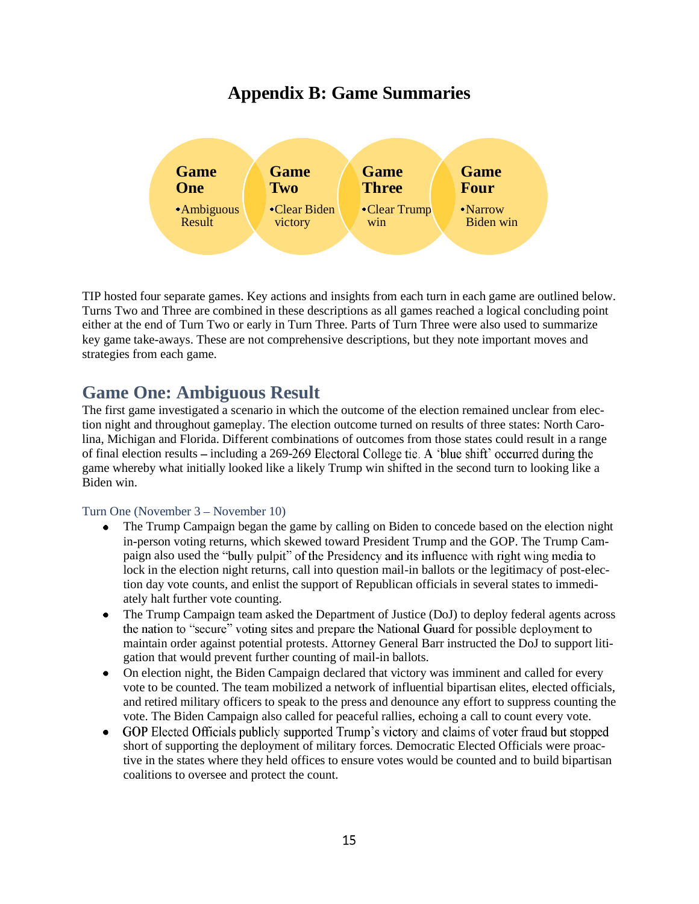## **Appendix B: Game Summaries**



TIP hosted four separate games. Key actions and insights from each turn in each game are outlined below. Turns Two and Three are combined in these descriptions as all games reached a logical concluding point either at the end of Turn Two or early in Turn Three. Parts of Turn Three were also used to summarize key game take-aways. These are not comprehensive descriptions, but they note important moves and strategies from each game.

### **Game One: Ambiguous Result**

The first game investigated a scenario in which the outcome of the election remained unclear from election night and throughout gameplay. The election outcome turned on results of three states: North Carolina, Michigan and Florida. Different combinations of outcomes from those states could result in a range of final election results – including a  $269-269$  Electoral College tie. A 'blue shift' occurred during the game whereby what initially looked like a likely Trump win shifted in the second turn to looking like a Biden win.

#### Turn One (November 3 – November 10)

- The Trump Campaign began the game by calling on Biden to concede based on the election night  $\bullet$ in-person voting returns, which skewed toward President Trump and the GOP. The Trump Campaign also used the "bully pulpit" of the Presidency and its influence with right wing media to lock in the election night returns, call into question mail-in ballots or the legitimacy of post-election day vote counts, and enlist the support of Republican officials in several states to immediately halt further vote counting.
- The Trump Campaign team asked the Department of Justice (DoJ) to deploy federal agents across  $\bullet$ the nation to "secure" voting sites and prepare the National Guard for possible deployment to maintain order against potential protests. Attorney General Barr instructed the DoJ to support litigation that would prevent further counting of mail-in ballots.
- On election night, the Biden Campaign declared that victory was imminent and called for every vote to be counted. The team mobilized a network of influential bipartisan elites, elected officials, and retired military officers to speak to the press and denounce any effort to suppress counting the vote. The Biden Campaign also called for peaceful rallies, echoing a call to count every vote.
- GOP Elected Officials publicly supported Trump's victory and claims of voter fraud but stopped short of supporting the deployment of military forces. Democratic Elected Officials were proactive in the states where they held offices to ensure votes would be counted and to build bipartisan coalitions to oversee and protect the count.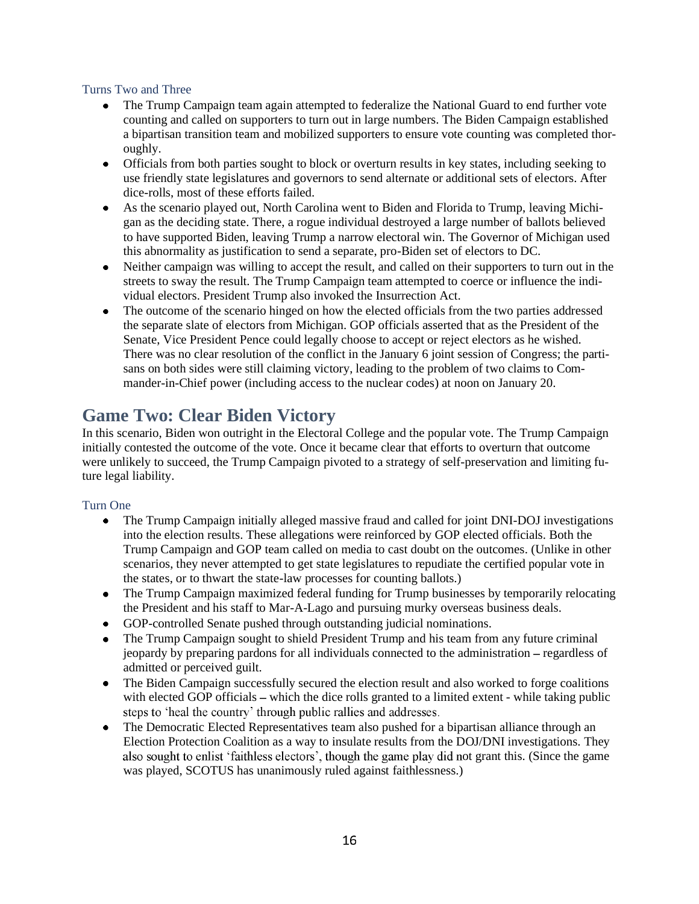### Turns Two and Three

- $\bullet$ The Trump Campaign team again attempted to federalize the National Guard to end further vote counting and called on supporters to turn out in large numbers. The Biden Campaign established a bipartisan transition team and mobilized supporters to ensure vote counting was completed thoroughly.
- Officials from both parties sought to block or overturn results in key states, including seeking to use friendly state legislatures and governors to send alternate or additional sets of electors. After dice-rolls, most of these efforts failed.
- As the scenario played out, North Carolina went to Biden and Florida to Trump, leaving Michigan as the deciding state. There, a rogue individual destroyed a large number of ballots believed to have supported Biden, leaving Trump a narrow electoral win. The Governor of Michigan used this abnormality as justification to send a separate, pro-Biden set of electors to DC.
- Neither campaign was willing to accept the result, and called on their supporters to turn out in the  $\bullet$ streets to sway the result. The Trump Campaign team attempted to coerce or influence the individual electors. President Trump also invoked the Insurrection Act.
- The outcome of the scenario hinged on how the elected officials from the two parties addressed  $\bullet$ the separate slate of electors from Michigan. GOP officials asserted that as the President of the Senate, Vice President Pence could legally choose to accept or reject electors as he wished. There was no clear resolution of the conflict in the January 6 joint session of Congress; the partisans on both sides were still claiming victory, leading to the problem of two claims to Commander-in-Chief power (including access to the nuclear codes) at noon on January 20.

## **Game Two: Clear Biden Victory**

In this scenario, Biden won outright in the Electoral College and the popular vote. The Trump Campaign initially contested the outcome of the vote. Once it became clear that efforts to overturn that outcome were unlikely to succeed, the Trump Campaign pivoted to a strategy of self-preservation and limiting future legal liability.

### Turn One

- The Trump Campaign initially alleged massive fraud and called for joint DNI-DOJ investigations  $\bullet$ into the election results. These allegations were reinforced by GOP elected officials. Both the Trump Campaign and GOP team called on media to cast doubt on the outcomes. (Unlike in other scenarios, they never attempted to get state legislatures to repudiate the certified popular vote in the states, or to thwart the state-law processes for counting ballots.)
- The Trump Campaign maximized federal funding for Trump businesses by temporarily relocating the President and his staff to Mar-A-Lago and pursuing murky overseas business deals.
- GOP-controlled Senate pushed through outstanding judicial nominations.
- The Trump Campaign sought to shield President Trump and his team from any future criminal  $\bullet$ jeopardy by preparing pardons for all individuals connected to the administration – regardless of admitted or perceived guilt.
- The Biden Campaign successfully secured the election result and also worked to forge coalitions  $\bullet$ with elected GOP officials – which the dice rolls granted to a limited extent - while taking public steps to 'heal the country' through public rallies and addresses.
- The Democratic Elected Representatives team also pushed for a bipartisan alliance through an Election Protection Coalition as a way to insulate results from the DOJ/DNI investigations. They also sought to enlist 'faithless electors', though the game play did not grant this. (Since the game was played, SCOTUS has unanimously ruled against faithlessness.)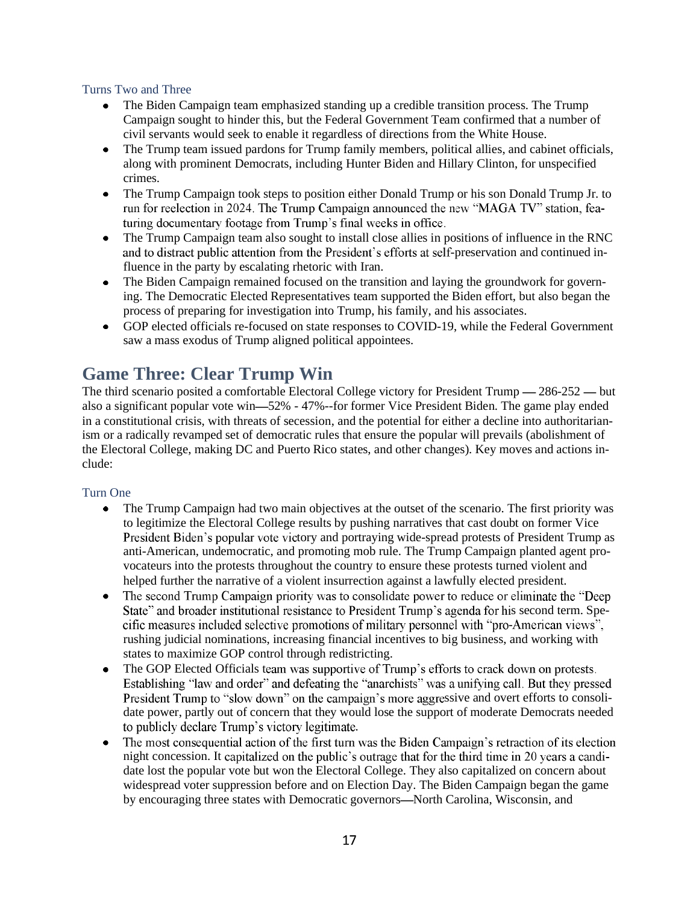#### Turns Two and Three

- $\bullet$ The Biden Campaign team emphasized standing up a credible transition process. The Trump Campaign sought to hinder this, but the Federal Government Team confirmed that a number of civil servants would seek to enable it regardless of directions from the White House.
- The Trump team issued pardons for Trump family members, political allies, and cabinet officials, along with prominent Democrats, including Hunter Biden and Hillary Clinton, for unspecified crimes.
- $\bullet$ The Trump Campaign took steps to position either Donald Trump or his son Donald Trump Jr. to run for reelection in 2024. The Trump Campaign announced the new "MAGA TV" station, featuring documentary footage from Trump's final weeks in office.
- The Trump Campaign team also sought to install close allies in positions of influence in the RNC and to distract public attention from the President's efforts at self-preservation and continued influence in the party by escalating rhetoric with Iran.
- The Biden Campaign remained focused on the transition and laying the groundwork for govern- $\bullet$ ing. The Democratic Elected Representatives team supported the Biden effort, but also began the process of preparing for investigation into Trump, his family, and his associates.
- $\bullet$ GOP elected officials re-focused on state responses to COVID-19, while the Federal Government saw a mass exodus of Trump aligned political appointees.

## **Game Three: Clear Trump Win**

The third scenario posited a comfortable Electoral College victory for President Trump  $- 286-252$   $-$  but also a significant popular vote win—52% - 47%--for former Vice President Biden. The game play ended in a constitutional crisis, with threats of secession, and the potential for either a decline into authoritarianism or a radically revamped set of democratic rules that ensure the popular will prevails (abolishment of the Electoral College, making DC and Puerto Rico states, and other changes). Key moves and actions include:

### Turn One

- The Trump Campaign had two main objectives at the outset of the scenario. The first priority was  $\bullet$ to legitimize the Electoral College results by pushing narratives that cast doubt on former Vice President Biden's popular vote victory and portraying wide-spread protests of President Trump as anti-American, undemocratic, and promoting mob rule. The Trump Campaign planted agent provocateurs into the protests throughout the country to ensure these protests turned violent and helped further the narrative of a violent insurrection against a lawfully elected president.
- $\bullet$ The second Trump Campaign priority was to consolidate power to reduce or eliminate the "Deep" State" and broader institutional resistance to President Trump's agenda for his second term. Specific measures included selective promotions of military personnel with "pro-American views", rushing judicial nominations, increasing financial incentives to big business, and working with states to maximize GOP control through redistricting.
- The GOP Elected Officials team was supportive of Trump's efforts to crack down on protests.  $\bullet$ Establishing "law and order" and defeating the "anarchists" was a unifying call. But they pressed President Trump to "slow down" on the campaign's more aggressive and overt efforts to consolidate power, partly out of concern that they would lose the support of moderate Democrats needed to publicly declare Trump's victory legitimate.
- The most consequential action of the first turn was the Biden Campaign's retraction of its election night concession. It capitalized on the public's outrage that for the third time in 20 years a candidate lost the popular vote but won the Electoral College. They also capitalized on concern about widespread voter suppression before and on Election Day. The Biden Campaign began the game by encouraging three states with Democratic governors—North Carolina, Wisconsin, and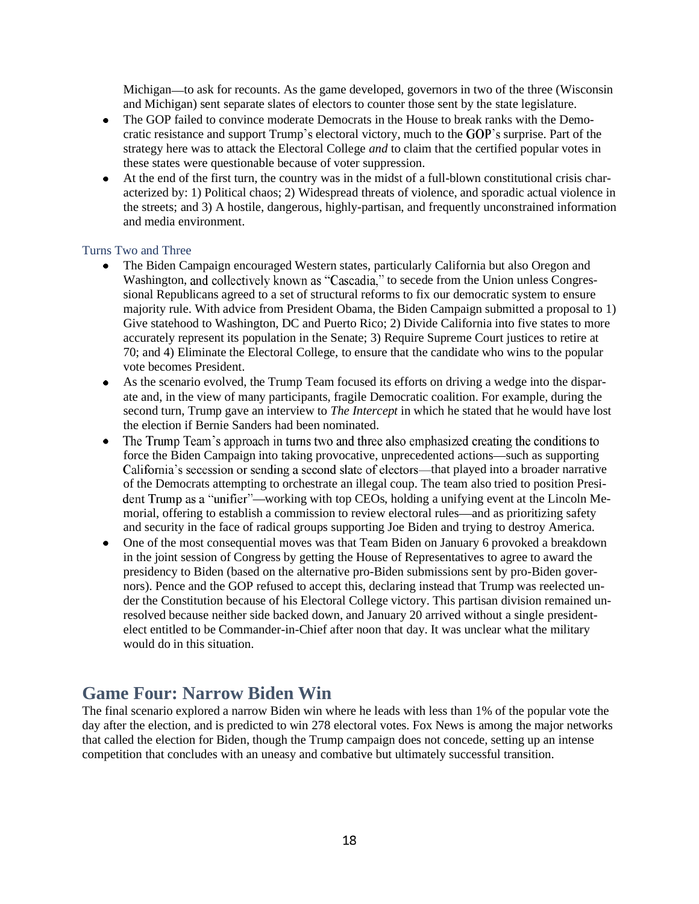Michigan—to ask for recounts. As the game developed, governors in two of the three (Wisconsin and Michigan) sent separate slates of electors to counter those sent by the state legislature.

- The GOP failed to convince moderate Democrats in the House to break ranks with the Demo- $\bullet$ cratic resistance and support Trump's electoral victory, much to the GOP's surprise. Part of the strategy here was to attack the Electoral College *and* to claim that the certified popular votes in these states were questionable because of voter suppression.
- At the end of the first turn, the country was in the midst of a full-blown constitutional crisis characterized by: 1) Political chaos; 2) Widespread threats of violence, and sporadic actual violence in the streets; and 3) A hostile, dangerous, highly-partisan, and frequently unconstrained information and media environment.

#### Turns Two and Three

- The Biden Campaign encouraged Western states, particularly California but also Oregon and Washington, and collectively known as "Cascadia," to secede from the Union unless Congressional Republicans agreed to a set of structural reforms to fix our democratic system to ensure majority rule. With advice from President Obama, the Biden Campaign submitted a proposal to 1) Give statehood to Washington, DC and Puerto Rico; 2) Divide California into five states to more accurately represent its population in the Senate; 3) Require Supreme Court justices to retire at 70; and 4) Eliminate the Electoral College, to ensure that the candidate who wins to the popular vote becomes President.
- As the scenario evolved, the Trump Team focused its efforts on driving a wedge into the disparate and, in the view of many participants, fragile Democratic coalition. For example, during the second turn, Trump gave an interview to *The Intercept* in which he stated that he would have lost the election if Bernie Sanders had been nominated.
- The Trump Team's approach in turns two and three also emphasized creating the conditions to force the Biden Campaign into taking provocative, unprecedented actions—such as supporting California's secession or sending a second slate of electors—that played into a broader narrative of the Democrats attempting to orchestrate an illegal coup. The team also tried to position President Trump as a "unifier"—working with top CEOs, holding a unifying event at the Lincoln Memorial, offering to establish a commission to review electoral rules—and as prioritizing safety and security in the face of radical groups supporting Joe Biden and trying to destroy America.
- One of the most consequential moves was that Team Biden on January 6 provoked a breakdown in the joint session of Congress by getting the House of Representatives to agree to award the presidency to Biden (based on the alternative pro-Biden submissions sent by pro-Biden governors). Pence and the GOP refused to accept this, declaring instead that Trump was reelected under the Constitution because of his Electoral College victory. This partisan division remained unresolved because neither side backed down, and January 20 arrived without a single presidentelect entitled to be Commander-in-Chief after noon that day. It was unclear what the military would do in this situation.

### **Game Four: Narrow Biden Win**

The final scenario explored a narrow Biden win where he leads with less than 1% of the popular vote the day after the election, and is predicted to win 278 electoral votes. Fox News is among the major networks that called the election for Biden, though the Trump campaign does not concede, setting up an intense competition that concludes with an uneasy and combative but ultimately successful transition.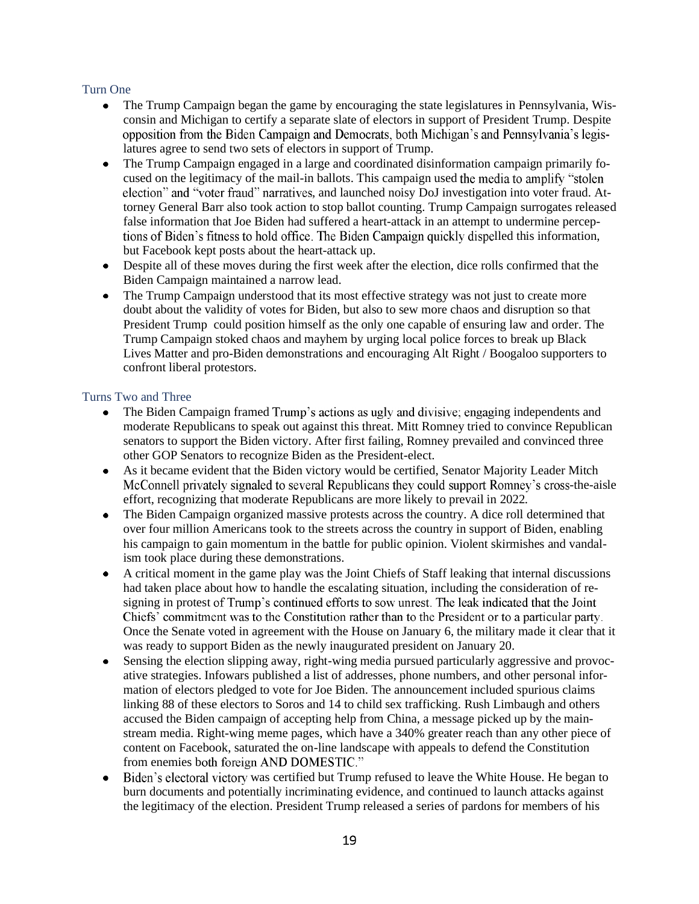#### Turn One

- $\bullet$ The Trump Campaign began the game by encouraging the state legislatures in Pennsylvania, Wisconsin and Michigan to certify a separate slate of electors in support of President Trump. Despite opposition from the Biden Campaign and Democrats, both Michigan's and Pennsylvania's legislatures agree to send two sets of electors in support of Trump.
- The Trump Campaign engaged in a large and coordinated disinformation campaign primarily focused on the legitimacy of the mail-in ballots. This campaign used the media to amplify "stolen" election" and "voter fraud" narratives, and launched noisy DoJ investigation into voter fraud. Attorney General Barr also took action to stop ballot counting. Trump Campaign surrogates released false information that Joe Biden had suffered a heart-attack in an attempt to undermine perceptions of Biden's fitness to hold office. The Biden Campaign quickly dispelled this information, but Facebook kept posts about the heart-attack up.
- Despite all of these moves during the first week after the election, dice rolls confirmed that the Biden Campaign maintained a narrow lead.
- The Trump Campaign understood that its most effective strategy was not just to create more doubt about the validity of votes for Biden, but also to sew more chaos and disruption so that President Trump could position himself as the only one capable of ensuring law and order. The Trump Campaign stoked chaos and mayhem by urging local police forces to break up Black Lives Matter and pro-Biden demonstrations and encouraging Alt Right / Boogaloo supporters to confront liberal protestors.

### Turns Two and Three

- The Biden Campaign framed Trump's actions as ugly and divisive; engaging independents and moderate Republicans to speak out against this threat. Mitt Romney tried to convince Republican senators to support the Biden victory. After first failing, Romney prevailed and convinced three other GOP Senators to recognize Biden as the President-elect.
- As it became evident that the Biden victory would be certified, Senator Majority Leader Mitch McConnell privately signaled to several Republicans they could support Romney's cross-the-aisle effort, recognizing that moderate Republicans are more likely to prevail in 2022.
- The Biden Campaign organized massive protests across the country. A dice roll determined that over four million Americans took to the streets across the country in support of Biden, enabling his campaign to gain momentum in the battle for public opinion. Violent skirmishes and vandalism took place during these demonstrations.
- A critical moment in the game play was the Joint Chiefs of Staff leaking that internal discussions had taken place about how to handle the escalating situation, including the consideration of resigning in protest of Trump's continued efforts to sow unrest. The leak indicated that the Joint Chiefs' commitment was to the Constitution rather than to the President or to a particular party. Once the Senate voted in agreement with the House on January 6, the military made it clear that it was ready to support Biden as the newly inaugurated president on January 20.
- Sensing the election slipping away, right-wing media pursued particularly aggressive and provocative strategies. Infowars published a list of addresses, phone numbers, and other personal information of electors pledged to vote for Joe Biden. The announcement included spurious claims linking 88 of these electors to Soros and 14 to child sex trafficking. Rush Limbaugh and others accused the Biden campaign of accepting help from China, a message picked up by the mainstream media. Right-wing meme pages, which have a 340% greater reach than any other piece of content on Facebook, saturated the on-line landscape with appeals to defend the Constitution from enemies both foreign AND DOMESTIC."
- Biden's electoral victory was certified but Trump refused to leave the White House. He began to burn documents and potentially incriminating evidence, and continued to launch attacks against the legitimacy of the election. President Trump released a series of pardons for members of his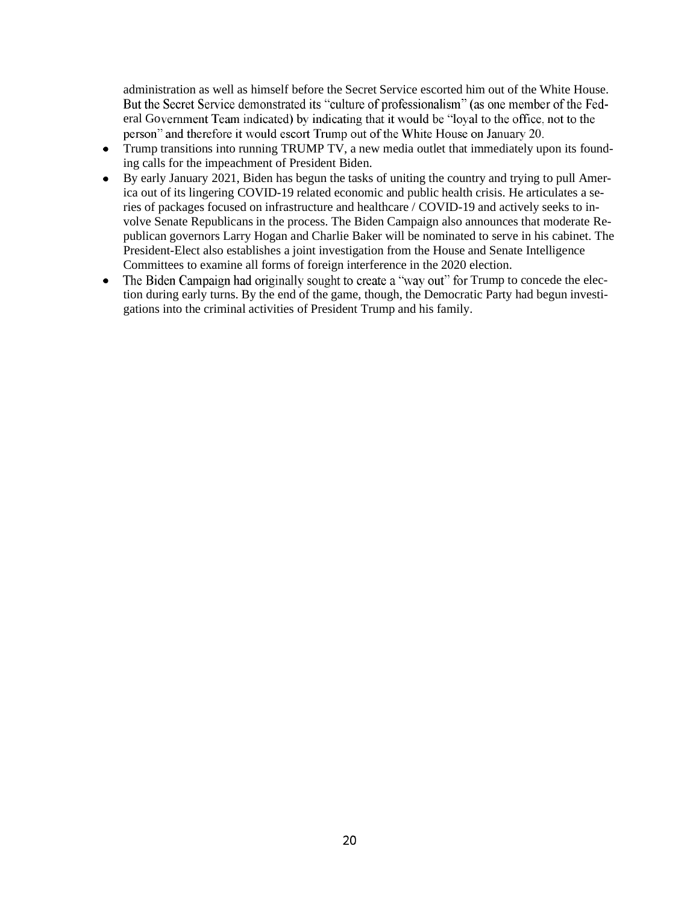administration as well as himself before the Secret Service escorted him out of the White House. But the Secret Service demonstrated its "culture of professionalism" (as one member of the Federal Government Team indicated) by indicating that it would be "loyal to the office, not to the person" and therefore it would escort Trump out of the White House on January 20.

- Trump transitions into running TRUMP TV, a new media outlet that immediately upon its founding calls for the impeachment of President Biden.
- By early January 2021, Biden has begun the tasks of uniting the country and trying to pull America out of its lingering COVID-19 related economic and public health crisis. He articulates a series of packages focused on infrastructure and healthcare / COVID-19 and actively seeks to involve Senate Republicans in the process. The Biden Campaign also announces that moderate Republican governors Larry Hogan and Charlie Baker will be nominated to serve in his cabinet. The President-Elect also establishes a joint investigation from the House and Senate Intelligence Committees to examine all forms of foreign interference in the 2020 election.
- The Biden Campaign had originally sought to create a "way out" for Trump to concede the elec- $\bullet$ tion during early turns. By the end of the game, though, the Democratic Party had begun investigations into the criminal activities of President Trump and his family.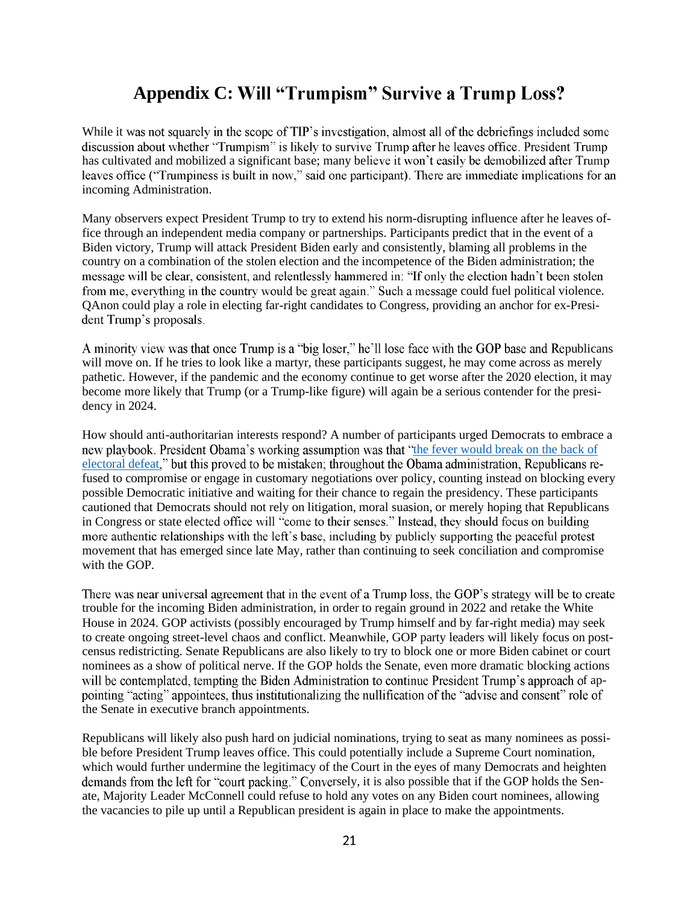# **Appendix C: Will "Trumpism" Survive a Trump Loss?**

While it was not squarely in the scope of TIP's investigation, almost all of the debriefings included some discussion about whether "Trumpism" is likely to survive Trump after he leaves office. President Trump has cultivated and mobilized a significant base; many believe it won't easily be demobilized after Trump leaves office ("Trumpiness is built in now," said one participant). There are immediate implications for an incoming Administration.

Many observers expect President Trump to try to extend his norm-disrupting influence after he leaves office through an independent media company or partnerships. Participants predict that in the event of a Biden victory, Trump will attack President Biden early and consistently, blaming all problems in the country on a combination of the stolen election and the incompetence of the Biden administration; the message will be clear, consistent, and relentlessly hammered in: "If only the election hadn't been stolen from me, everything in the country would be great again." Such a message could fuel political violence. QAnon could play a role in electing far-right candidates to Congress, providing an anchor for ex-President Trump's proposals.

A minority view was that once Trump is a "big loser," he'll lose face with the GOP base and Republicans will move on. If he tries to look like a martyr, these participants suggest, he may come across as merely pathetic. However, if the pandemic and the economy continue to get worse after the 2020 election, it may become more likely that Trump (or a Trump-like figure) will again be a serious contender for the presidency in 2024.

How should anti-authoritarian interests respond? A number of participants urged Democrats to embrace a new playbook. President Obama's working assumption was that "the fever would break on the back of electoral defeat," but this proved to be mistaken; throughout the Obama administration, Republicans refused to compromise or engage in customary negotiations over policy, counting instead on blocking every possible Democratic initiative and waiting for their chance to regain the presidency. These participants cautioned that Democrats should not rely on litigation, moral suasion, or merely hoping that Republicans in Congress or state elected office will "come to their senses." Instead, they should focus on building more authentic relationships with the left's base, including by publicly supporting the peaceful protest movement that has emerged since late May, rather than continuing to seek conciliation and compromise with the GOP.

There was near universal agreement that in the event of a Trump loss, the GOP's strategy will be to create trouble for the incoming Biden administration, in order to regain ground in 2022 and retake the White House in 2024. GOP activists (possibly encouraged by Trump himself and by far-right media) may seek to create ongoing street-level chaos and conflict. Meanwhile, GOP party leaders will likely focus on postcensus redistricting. Senate Republicans are also likely to try to block one or more Biden cabinet or court nominees as a show of political nerve. If the GOP holds the Senate, even more dramatic blocking actions will be contemplated, tempting the Biden Administration to continue President Trump's approach of appointing "acting" appointees, thus institutionalizing the nullification of the "advise and consent" role of the Senate in executive branch appointments.

Republicans will likely also push hard on judicial nominations, trying to seat as many nominees as possible before President Trump leaves office. This could potentially include a Supreme Court nomination, which would further undermine the legitimacy of the Court in the eyes of many Democrats and heighten demands from the left for "court packing." Conversely, it is also possible that if the GOP holds the Senate, Majority Leader McConnell could refuse to hold any votes on any Biden court nominees, allowing the vacancies to pile up until a Republican president is again in place to make the appointments.